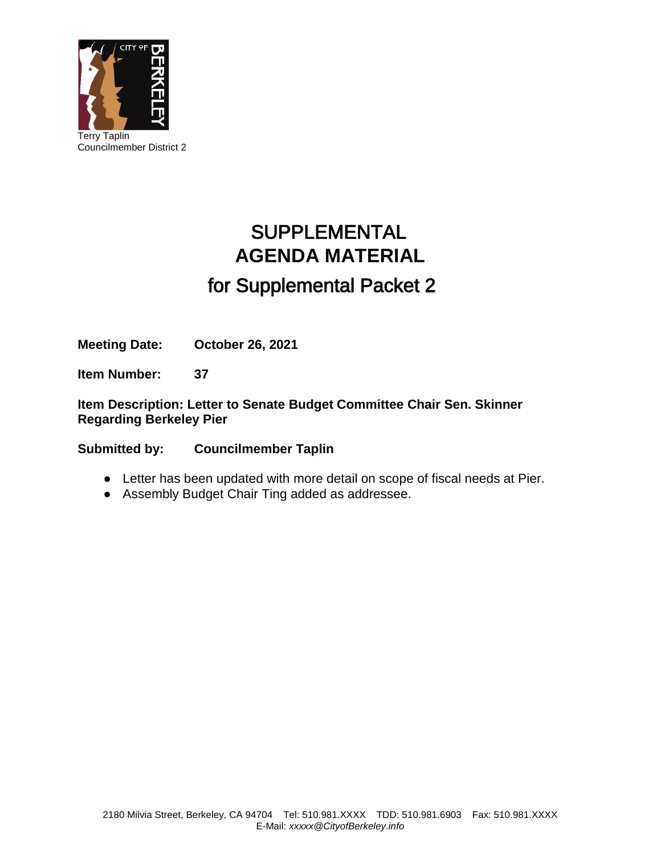

# SUPPLEMENTAL **AGENDA MATERIAL** for Supplemental Packet 2

**Meeting Date: October 26, 2021**

**Item Number: 37**

**Item Description: Letter to Senate Budget Committee Chair Sen. Skinner Regarding Berkeley Pier**

**Submitted by: Councilmember Taplin**

- Letter has been updated with more detail on scope of fiscal needs at Pier.
- Assembly Budget Chair Ting added as addressee.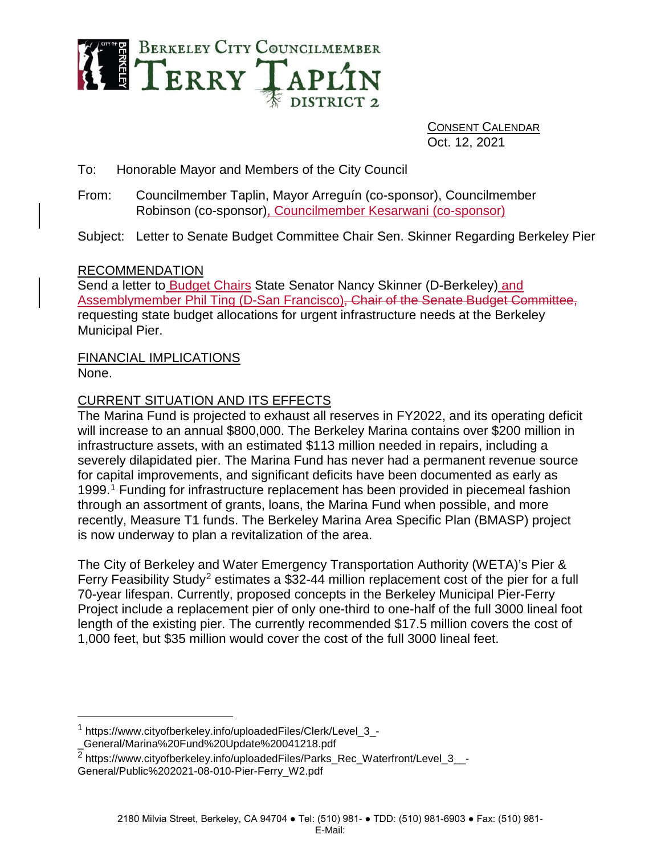

CONSENT CALENDAR Oct. 12, 2021

To: Honorable Mayor and Members of the City Council

From: Councilmember Taplin, Mayor Arreguín (co-sponsor), Councilmember Robinson (co-sponsor), Councilmember Kesarwani (co-sponsor)

Subject: Letter to Senate Budget Committee Chair Sen. Skinner Regarding Berkeley Pier

# RECOMMENDATION

Send a letter to Budget Chairs State Senator Nancy Skinner (D-Berkeley) and Assemblymember Phil Ting (D-San Francisco), Chair of the Senate Budget Committee, requesting state budget allocations for urgent infrastructure needs at the Berkeley Municipal Pier.

# FINANCIAL IMPLICATIONS

None.

# CURRENT SITUATION AND ITS EFFECTS

The Marina Fund is projected to exhaust all reserves in FY2022, and its operating deficit will increase to an annual \$800,000. The Berkeley Marina contains over \$200 million in infrastructure assets, with an estimated \$113 million needed in repairs, including a severely dilapidated pier. The Marina Fund has never had a permanent revenue source for capital improvements, and significant deficits have been documented as early as 1999.[1](#page-1-0) Funding for infrastructure replacement has been provided in piecemeal fashion through an assortment of grants, loans, the Marina Fund when possible, and more recently, Measure T1 funds. The Berkeley Marina Area Specific Plan (BMASP) project is now underway to plan a revitalization of the area.

The City of Berkeley and Water Emergency Transportation Authority (WETA)'s Pier & Ferry Feasibility Study<sup>[2](#page-1-1)</sup> estimates a \$32-44 million replacement cost of the pier for a full 70-year lifespan. Currently, proposed concepts in the Berkeley Municipal Pier-Ferry Project include a replacement pier of only one-third to one-half of the full 3000 lineal foot length of the existing pier. The currently recommended \$17.5 million covers the cost of 1,000 feet, but \$35 million would cover the cost of the full 3000 lineal feet.

<span id="page-1-0"></span> <sup>1</sup> https://www.cityofberkeley.info/uploadedFiles/Clerk/Level\_3\_- \_General/Marina%20Fund%20Update%20041218.pdf

<span id="page-1-1"></span> $\overline{2}$  https://www.cityofberkeley.info/uploadedFiles/Parks\_Rec\_Waterfront/Level\_3\_\_-General/Public%202021-08-010-Pier-Ferry\_W2.pdf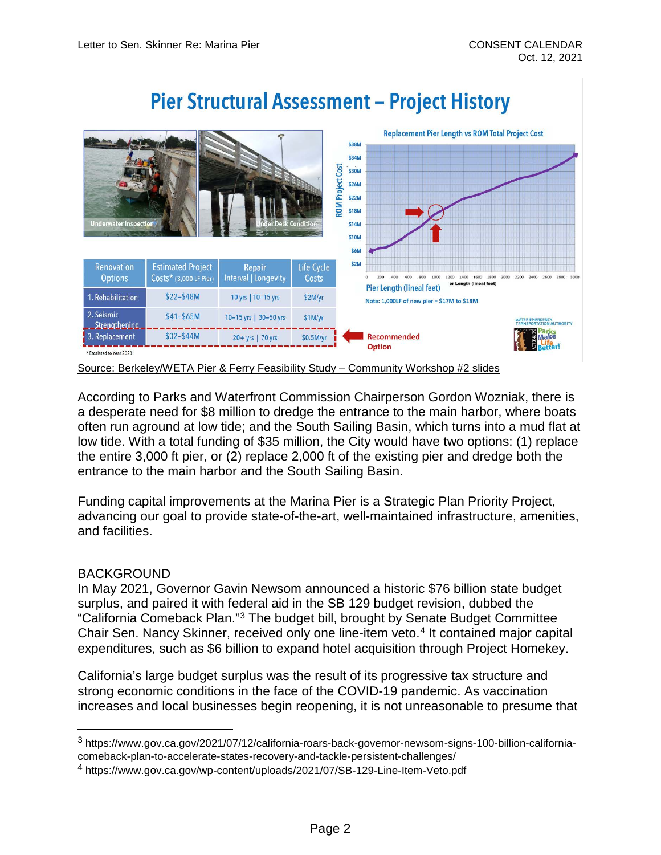

According to Parks and Waterfront Commission Chairperson Gordon Wozniak, there is a desperate need for \$8 million to dredge the entrance to the main harbor, where boats often run aground at low tide; and the South Sailing Basin, which turns into a mud flat at low tide. With a total funding of \$35 million, the City would have two options: (1) replace the entire 3,000 ft pier, or (2) replace 2,000 ft of the existing pier and dredge both the entrance to the main harbor and the South Sailing Basin.

Funding capital improvements at the Marina Pier is a Strategic Plan Priority Project, advancing our goal to provide state-of-the-art, well-maintained infrastructure, amenities, and facilities.

## BACKGROUND

In May 2021, Governor Gavin Newsom announced a historic \$76 billion state budget surplus, and paired it with federal aid in the SB 129 budget revision, dubbed the "California Comeback Plan."[3](#page-2-0) The budget bill, brought by Senate Budget Committee Chair Sen. Nancy Skinner, received only one line-item veto.<sup>4</sup> It contained major capital expenditures, such as \$6 billion to expand hotel acquisition through Project Homekey.

California's large budget surplus was the result of its progressive tax structure and strong economic conditions in the face of the COVID-19 pandemic. As vaccination increases and local businesses begin reopening, it is not unreasonable to presume that

<span id="page-2-0"></span> <sup>3</sup> https://www.gov.ca.gov/2021/07/12/california-roars-back-governor-newsom-signs-100-billion-californiacomeback-plan-to-accelerate-states-recovery-and-tackle-persistent-challenges/

<span id="page-2-1"></span><sup>4</sup> https://www.gov.ca.gov/wp-content/uploads/2021/07/SB-129-Line-Item-Veto.pdf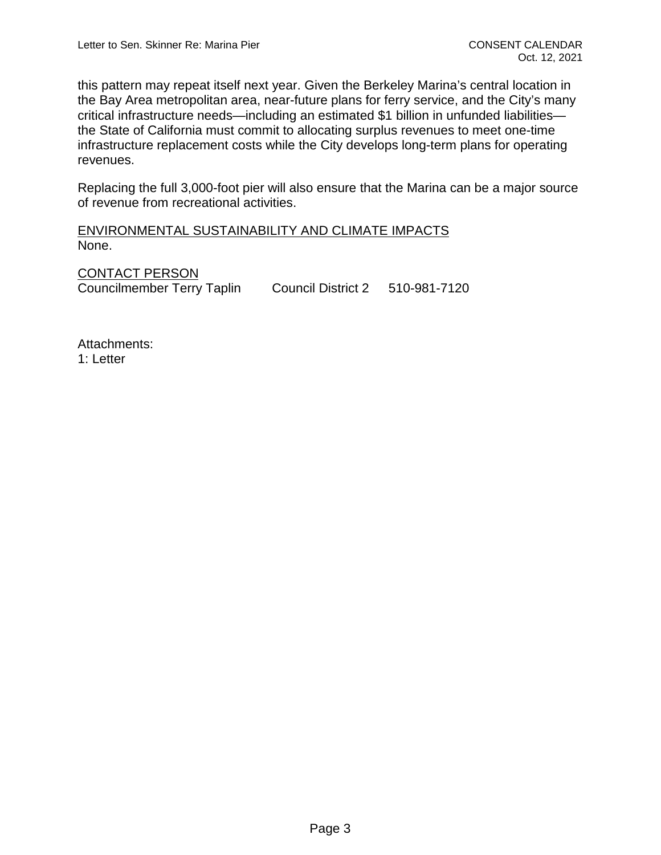this pattern may repeat itself next year. Given the Berkeley Marina's central location in the Bay Area metropolitan area, near-future plans for ferry service, and the City's many critical infrastructure needs—including an estimated \$1 billion in unfunded liabilities the State of California must commit to allocating surplus revenues to meet one-time infrastructure replacement costs while the City develops long-term plans for operating revenues.

Replacing the full 3,000-foot pier will also ensure that the Marina can be a major source of revenue from recreational activities.

# ENVIRONMENTAL SUSTAINABILITY AND CLIMATE IMPACTS None.

CONTACT PERSON Councilmember Terry Taplin Council District 2 510-981-7120

Attachments: 1: Letter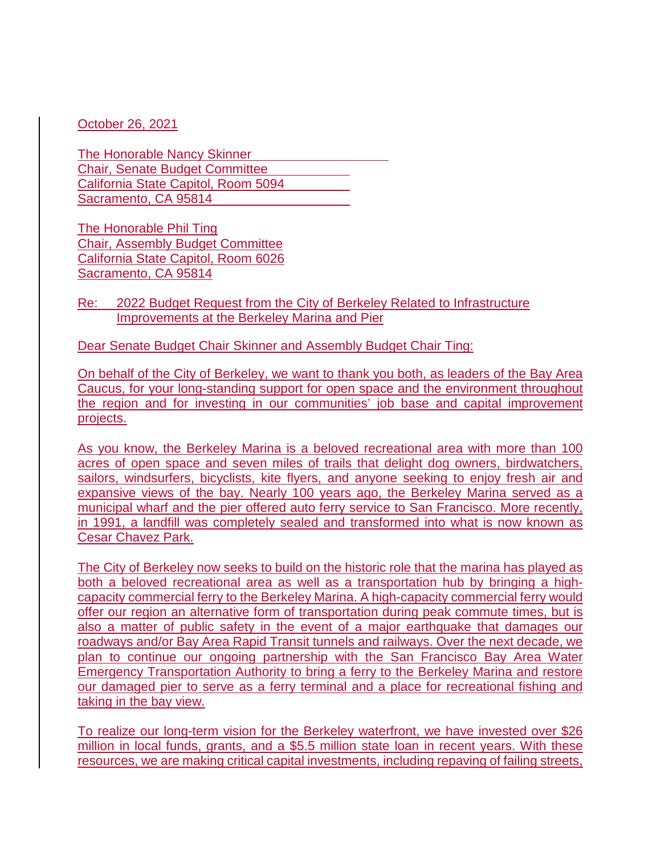October 26, 2021

The Honorable Nancy Skinner Chair, Senate Budget Committee California State Capitol, Room 5094 Sacramento, CA 95814

The Honorable Phil Ting Chair, Assembly Budget Committee California State Capitol, Room 6026 Sacramento, CA 95814

Re: 2022 Budget Request from the City of Berkeley Related to Infrastructure Improvements at the Berkeley Marina and Pier

Dear Senate Budget Chair Skinner and Assembly Budget Chair Ting:

On behalf of the City of Berkeley, we want to thank you both, as leaders of the Bay Area Caucus, for your long-standing support for open space and the environment throughout the region and for investing in our communities' job base and capital improvement projects.

As you know, the Berkeley Marina is a beloved recreational area with more than 100 acres of open space and seven miles of trails that delight dog owners, birdwatchers, sailors, windsurfers, bicyclists, kite flyers, and anyone seeking to enjoy fresh air and expansive views of the bay. Nearly 100 years ago, the Berkeley Marina served as a municipal wharf and the pier offered auto ferry service to San Francisco. More recently, in 1991, a landfill was completely sealed and transformed into what is now known as Cesar Chavez Park.

The City of Berkeley now seeks to build on the historic role that the marina has played as both a beloved recreational area as well as a transportation hub by bringing a highcapacity commercial ferry to the Berkeley Marina. A high-capacity commercial ferry would offer our region an alternative form of transportation during peak commute times, but is also a matter of public safety in the event of a major earthquake that damages our roadways and/or Bay Area Rapid Transit tunnels and railways. Over the next decade, we plan to continue our ongoing partnership with the San Francisco Bay Area Water Emergency Transportation Authority to bring a ferry to the Berkeley Marina and restore our damaged pier to serve as a ferry terminal and a place for recreational fishing and taking in the bay view.

To realize our long-term vision for the Berkeley waterfront, we have invested over \$26 million in local funds, grants, and a \$5.5 million state loan in recent years. With these resources, we are making critical capital investments, including repaving of failing streets,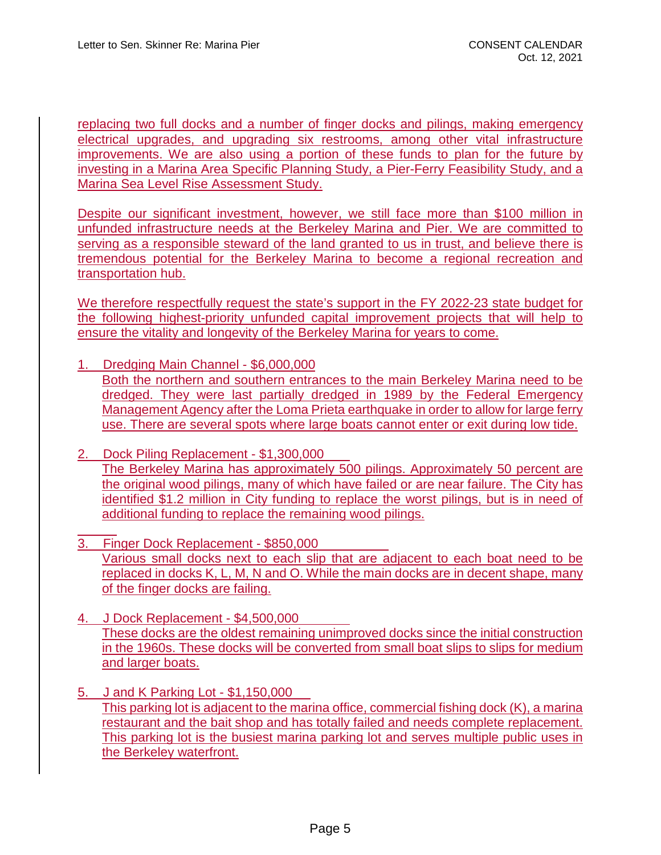replacing two full docks and a number of finger docks and pilings, making emergency electrical upgrades, and upgrading six restrooms, among other vital infrastructure improvements. We are also using a portion of these funds to plan for the future by investing in a Marina Area Specific Planning Study, a Pier-Ferry Feasibility Study, and a Marina Sea Level Rise Assessment Study.

Despite our significant investment, however, we still face more than \$100 million in unfunded infrastructure needs at the Berkeley Marina and Pier. We are committed to serving as a responsible steward of the land granted to us in trust, and believe there is tremendous potential for the Berkeley Marina to become a regional recreation and transportation hub.

We therefore respectfully request the state's support in the FY 2022-23 state budget for the following highest-priority unfunded capital improvement projects that will help to ensure the vitality and longevity of the Berkeley Marina for years to come.

- 1. Dredging Main Channel \$6,000,000 Both the northern and southern entrances to the main Berkeley Marina need to be dredged. They were last partially dredged in 1989 by the Federal Emergency Management Agency after the Loma Prieta earthquake in order to allow for large ferry use. There are several spots where large boats cannot enter or exit during low tide.
- 2. Dock Piling Replacement \$1,300,000 The Berkeley Marina has approximately 500 pilings. Approximately 50 percent are the original wood pilings, many of which have failed or are near failure. The City has identified \$1.2 million in City funding to replace the worst pilings, but is in need of additional funding to replace the remaining wood pilings.
- 3. Finger Dock Replacement \$850,000 Various small docks next to each slip that are adjacent to each boat need to be replaced in docks K, L, M, N and O. While the main docks are in decent shape, many of the finger docks are failing.
- 4. J Dock Replacement \$4,500,000 These docks are the oldest remaining unimproved docks since the initial construction in the 1960s. These docks will be converted from small boat slips to slips for medium and larger boats.
- 5. J and K Parking Lot \$1,150,000 This parking lot is adjacent to the marina office, commercial fishing dock (K), a marina restaurant and the bait shop and has totally failed and needs complete replacement. This parking lot is the busiest marina parking lot and serves multiple public uses in the Berkeley waterfront.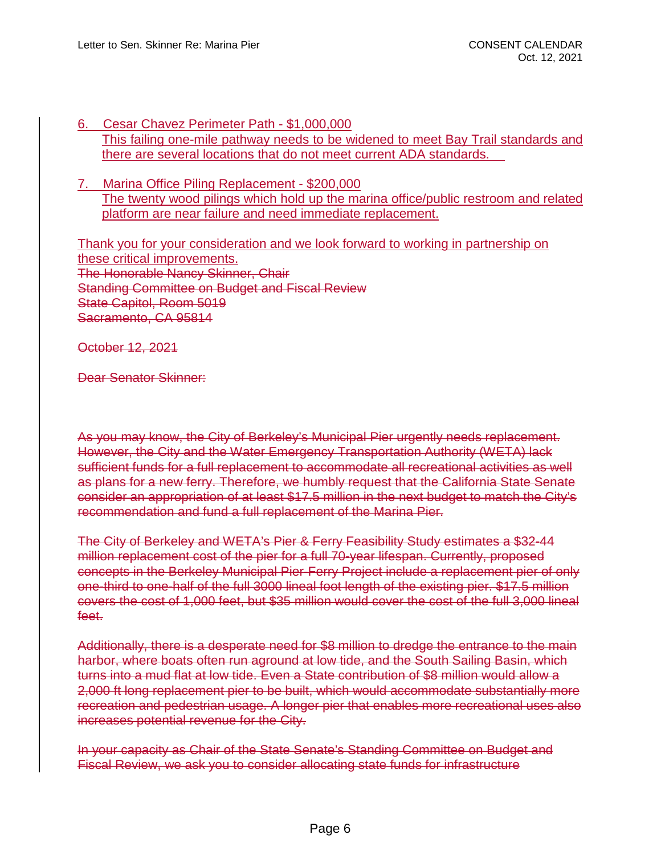- 6. Cesar Chavez Perimeter Path \$1,000,000 This failing one-mile pathway needs to be widened to meet Bay Trail standards and there are several locations that do not meet current ADA standards.
- 7. Marina Office Piling Replacement \$200,000 The twenty wood pilings which hold up the marina office/public restroom and related platform are near failure and need immediate replacement.

Thank you for your consideration and we look forward to working in partnership on these critical improvements. The Honorable Nancy Skinner, Chair Standing Committee on Budget and Fiscal Review State Capitol, Room 5019 Sacramento, CA 95814

October 12, 2021

Dear Senator Skinner:

As you may know, the City of Berkeley's Municipal Pier urgently needs replacement. However, the City and the Water Emergency Transportation Authority (WETA) lack sufficient funds for a full replacement to accommodate all recreational activities as well as plans for a new ferry. Therefore, we humbly request that the California State Senate consider an appropriation of at least \$17.5 million in the next budget to match the City's recommendation and fund a full replacement of the Marina Pier.

The City of Berkeley and WETA's Pier & Ferry Feasibility Study estimates a \$32-44 million replacement cost of the pier for a full 70-year lifespan. Currently, proposed concepts in the Berkeley Municipal Pier-Ferry Project include a replacement pier of only one-third to one-half of the full 3000 lineal foot length of the existing pier. \$17.5 million covers the cost of 1,000 feet, but \$35 million would cover the cost of the full 3,000 lineal feet.

Additionally, there is a desperate need for \$8 million to dredge the entrance to the main harbor, where boats often run aground at low tide, and the South Sailing Basin, which turns into a mud flat at low tide. Even a State contribution of \$8 million would allow a 2,000 ft long replacement pier to be built, which would accommodate substantially more recreation and pedestrian usage. A longer pier that enables more recreational uses also increases potential revenue for the City.

In your capacity as Chair of the State Senate's Standing Committee on Budget and Fiscal Review, we ask you to consider allocating state funds for infrastructure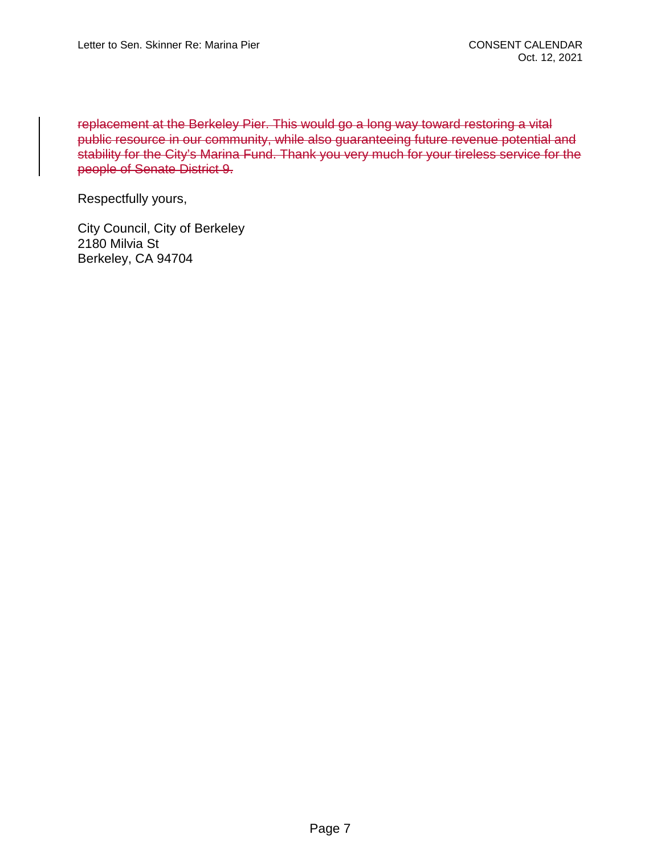replacement at the Berkeley Pier. This would go a long way toward restoring a vital public resource in our community, while also guaranteeing future revenue potential and stability for the City's Marina Fund. Thank you very much for your tireless service for the people of Senate District 9.

Respectfully yours,

City Council, City of Berkeley 2180 Milvia St Berkeley, CA 94704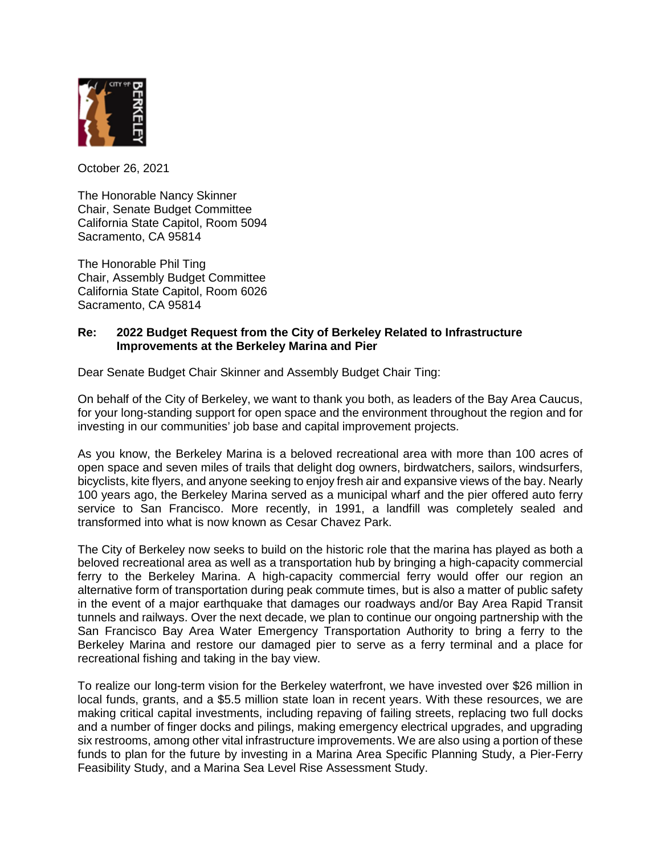

October 26, 2021

The Honorable Nancy Skinner Chair, Senate Budget Committee California State Capitol, Room 5094 Sacramento, CA 95814

The Honorable Phil Ting Chair, Assembly Budget Committee California State Capitol, Room 6026 Sacramento, CA 95814

## **Re: 2022 Budget Request from the City of Berkeley Related to Infrastructure Improvements at the Berkeley Marina and Pier**

Dear Senate Budget Chair Skinner and Assembly Budget Chair Ting:

On behalf of the City of Berkeley, we want to thank you both, as leaders of the Bay Area Caucus, for your long-standing support for open space and the environment throughout the region and for investing in our communities' job base and capital improvement projects.

As you know, the Berkeley Marina is a beloved recreational area with more than 100 acres of open space and seven miles of trails that delight dog owners, birdwatchers, sailors, windsurfers, bicyclists, kite flyers, and anyone seeking to enjoy fresh air and expansive views of the bay. Nearly 100 years ago, the Berkeley Marina served as a municipal wharf and the pier offered auto ferry service to San Francisco. More recently, in 1991, a landfill was completely sealed and transformed into what is now known as Cesar Chavez Park.

The City of Berkeley now seeks to build on the historic role that the marina has played as both a beloved recreational area as well as a transportation hub by bringing a high-capacity commercial ferry to the Berkeley Marina. A high-capacity commercial ferry would offer our region an alternative form of transportation during peak commute times, but is also a matter of public safety in the event of a major earthquake that damages our roadways and/or Bay Area Rapid Transit tunnels and railways. Over the next decade, we plan to continue our ongoing partnership with the San Francisco Bay Area Water Emergency Transportation Authority to bring a ferry to the Berkeley Marina and restore our damaged pier to serve as a ferry terminal and a place for recreational fishing and taking in the bay view.

To realize our long-term vision for the Berkeley waterfront, we have invested over \$26 million in local funds, grants, and a \$5.5 million state loan in recent years. With these resources, we are making critical capital investments, including repaving of failing streets, replacing two full docks and a number of finger docks and pilings, making emergency electrical upgrades, and upgrading six restrooms, among other vital infrastructure improvements. We are also using a portion of these funds to plan for the future by investing in a Marina Area Specific Planning Study, a Pier-Ferry Feasibility Study, and a Marina Sea Level Rise Assessment Study.